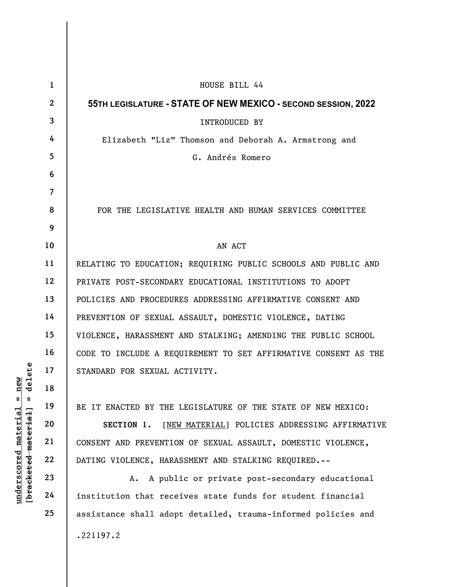|                                   | $\mathbf{1}$    | HOUSE BILL 44                                                   |
|-----------------------------------|-----------------|-----------------------------------------------------------------|
|                                   | $\mathbf{2}$    | 55TH LEGISLATURE - STATE OF NEW MEXICO - SECOND SESSION, 2022   |
|                                   | $\mathbf{3}$    | INTRODUCED BY                                                   |
|                                   | 4               | Elizabeth "Liz" Thomson and Deborah A. Armstrong and            |
|                                   | $5\overline{)}$ | G. Andrés Romero                                                |
|                                   | 6               |                                                                 |
|                                   | $\overline{7}$  |                                                                 |
|                                   | 8               | FOR THE LEGISLATIVE HEALTH AND HUMAN SERVICES COMMITTEE         |
|                                   | 9               |                                                                 |
|                                   | 10              | AN ACT                                                          |
|                                   | 11              | RELATING TO EDUCATION; REQUIRING PUBLIC SCHOOLS AND PUBLIC AND  |
|                                   | 12              | PRIVATE POST-SECONDARY EDUCATIONAL INSTITUTIONS TO ADOPT        |
|                                   | 13              | POLICIES AND PROCEDURES ADDRESSING AFFIRMATIVE CONSENT AND      |
|                                   | 14              | PREVENTION OF SEXUAL ASSAULT, DOMESTIC VIOLENCE, DATING         |
|                                   | 15              | VIOLENCE, HARASSMENT AND STALKING; AMENDING THE PUBLIC SCHOOL   |
|                                   | 16              | CODE TO INCLUDE A REQUIREMENT TO SET AFFIRMATIVE CONSENT AS THE |
| delete                            | 17              | STANDARD FOR SEXUAL ACTIVITY.                                   |
| new                               | 18              |                                                                 |
| Ш<br>Ш                            | 19              | BE IT ENACTED BY THE LEGISLATURE OF THE STATE OF NEW MEXICO:    |
| $\mathtt{matched1}$               | 20              | [NEW MATERIAL] POLICIES ADDRESSING AFFIRMATIVE<br>SECTION 1.    |
|                                   | 21              | CONSENT AND PREVENTION OF SEXUAL ASSAULT, DOMESTIC VIOLENCE,    |
|                                   | 22              | DATING VIOLENCE, HARASSMENT AND STALKING REQUIRED.--            |
| [ <del>bracketed material</del> ] | 23              | A. A public or private post-secondary educational               |
| underscored                       | 24              | institution that receives state funds for student financial     |
|                                   | 25              | assistance shall adopt detailed, trauma-informed policies and   |
|                                   |                 | .221197.2                                                       |
|                                   |                 |                                                                 |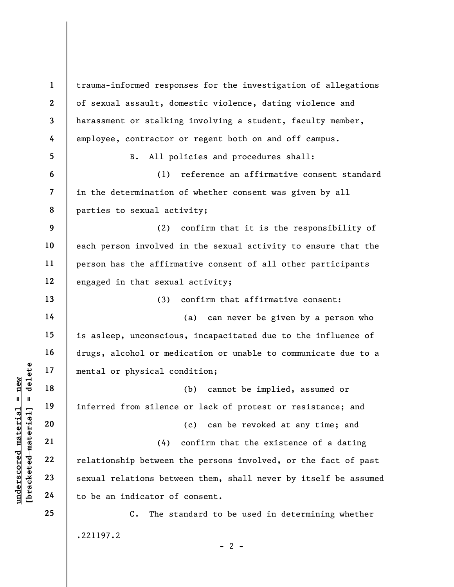under 17<br>
= 18<br>
= 19<br>
= 19<br>
= 19<br>
= 19<br>
= 19<br>
= 19<br>
= 19<br>
= 19<br>
= 19<br>
= 19<br>
= 19<br>
= 19<br>
= 19<br>
= 19<br>
= 19<br>
= 19<br>
= 19<br>
= 19<br>
= 19<br>
= 19<br>
= 19<br>
= 19<br>
= 19<br>
= 19<br>
= 19<br>
= 19<br>
= 19<br>
= 19<br>
= 19<br>
= 19<br>
= 19<br>
= 19<br>
= 19<br>
= 19<br>
= 1 2 3 4 5 6 7 8 9 10 11 12 13 14 15 16 17 18 19 20 21 22 23 24 25 trauma-informed responses for the investigation of allegations of sexual assault, domestic violence, dating violence and harassment or stalking involving a student, faculty member, employee, contractor or regent both on and off campus. B. All policies and procedures shall: (1) reference an affirmative consent standard in the determination of whether consent was given by all parties to sexual activity; (2) confirm that it is the responsibility of each person involved in the sexual activity to ensure that the person has the affirmative consent of all other participants engaged in that sexual activity; (3) confirm that affirmative consent: (a) can never be given by a person who is asleep, unconscious, incapacitated due to the influence of drugs, alcohol or medication or unable to communicate due to a mental or physical condition; (b) cannot be implied, assumed or inferred from silence or lack of protest or resistance; and (c) can be revoked at any time; and (4) confirm that the existence of a dating relationship between the persons involved, or the fact of past sexual relations between them, shall never by itself be assumed to be an indicator of consent. C. The standard to be used in determining whether .221197.2  $- 2 -$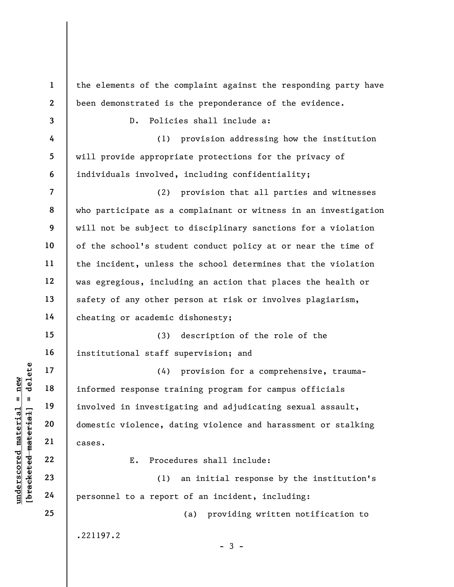understand material material informed response transmitted material involved in investigation and involved in investigation and involved in investigation and involved in investigation and involved in investigation and inve 1 2 3 4 5 6 7 8 9 10 11 12 13 14 15 16 17 18 19 20 21 22 23 24 25 the elements of the complaint against the responding party have been demonstrated is the preponderance of the evidence. D. Policies shall include a: (1) provision addressing how the institution will provide appropriate protections for the privacy of individuals involved, including confidentiality; (2) provision that all parties and witnesses who participate as a complainant or witness in an investigation will not be subject to disciplinary sanctions for a violation of the school's student conduct policy at or near the time of the incident, unless the school determines that the violation was egregious, including an action that places the health or safety of any other person at risk or involves plagiarism, cheating or academic dishonesty; (3) description of the role of the institutional staff supervision; and (4) provision for a comprehensive, traumainformed response training program for campus officials involved in investigating and adjudicating sexual assault, domestic violence, dating violence and harassment or stalking cases. E. Procedures shall include: (1) an initial response by the institution's personnel to a report of an incident, including: (a) providing written notification to .221197.2  $-3 -$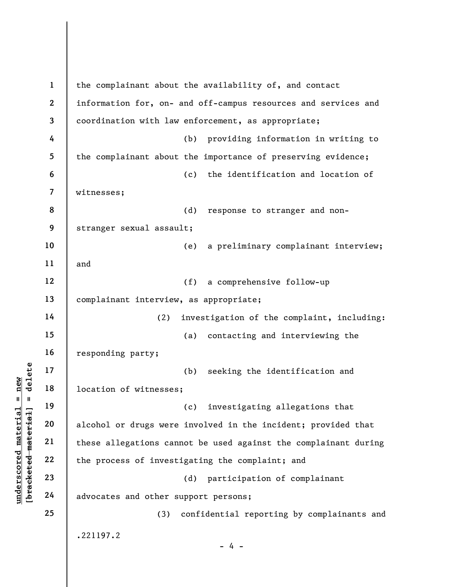|                                            | $\mathbf{1}$ | the complainant about the availability of, and contact          |
|--------------------------------------------|--------------|-----------------------------------------------------------------|
|                                            | $\mathbf{2}$ | information for, on- and off-campus resources and services and  |
|                                            | 3            | coordination with law enforcement, as appropriate;              |
|                                            | 4            | (b) providing information in writing to                         |
|                                            | 5            | the complainant about the importance of preserving evidence;    |
|                                            | 6            | the identification and location of<br>(c)                       |
|                                            | 7            | witnesses;                                                      |
|                                            | 8            | (d)<br>response to stranger and non-                            |
|                                            | 9            | stranger sexual assault;                                        |
|                                            | 10           | a preliminary complainant interview;<br>(e)                     |
|                                            | 11           | and                                                             |
|                                            | 12           | (f)<br>a comprehensive follow-up                                |
|                                            | 13           | complainant interview, as appropriate;                          |
|                                            | 14           | investigation of the complaint, including:<br>(2)               |
|                                            | 15           | (a)<br>contacting and interviewing the                          |
|                                            | 16           | responding party;                                               |
| delete                                     | 17           | (b)<br>seeking the identification and                           |
| new<br>Ш<br>- II                           | 18           | location of witnesses;                                          |
|                                            | 19           | (c) investigating allegations that                              |
| materia<br>[ <del>bracketed material</del> | 20           | alcohol or drugs were involved in the incident; provided that   |
|                                            | 21           | these allegations cannot be used against the complainant during |
| underscored                                | 22           | the process of investigating the complaint; and                 |
|                                            | 23           | participation of complainant<br>(d)                             |
|                                            | 24           | advocates and other support persons;                            |
|                                            | 25           | confidential reporting by complainants and<br>(3)               |
|                                            |              | .221197.2<br>4 -                                                |
|                                            |              |                                                                 |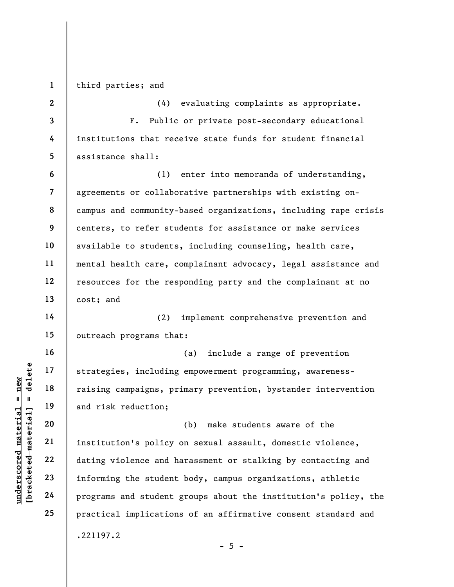1 third parties; and

underscored material = new [bracketed material] = delete 2 3 4 5 6 7 8 9 10 11 12 13 14 15 16 17 18 19 20 21 22 23 24 25 (4) evaluating complaints as appropriate. F. Public or private post-secondary educational institutions that receive state funds for student financial assistance shall: (1) enter into memoranda of understanding, agreements or collaborative partnerships with existing oncampus and community-based organizations, including rape crisis centers, to refer students for assistance or make services available to students, including counseling, health care, mental health care, complainant advocacy, legal assistance and resources for the responding party and the complainant at no cost; and (2) implement comprehensive prevention and outreach programs that: (a) include a range of prevention strategies, including empowerment programming, awarenessraising campaigns, primary prevention, bystander intervention and risk reduction; (b) make students aware of the institution's policy on sexual assault, domestic violence, dating violence and harassment or stalking by contacting and informing the student body, campus organizations, athletic programs and student groups about the institution's policy, the practical implications of an affirmative consent standard and .221197.2

 $- 5 -$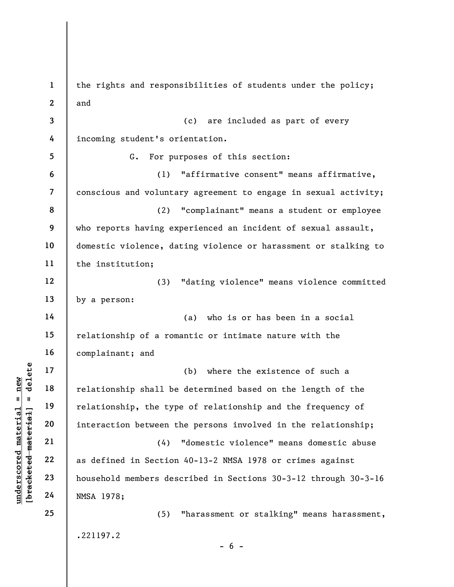underscored material = new [bracketed material] = delete 1 2 3 4 5 6 7 8 9 10 11 12 13 14 15 16 17 18 19 20 21 22 23 24 25 the rights and responsibilities of students under the policy; and (c) are included as part of every incoming student's orientation. G. For purposes of this section: (1) "affirmative consent" means affirmative, conscious and voluntary agreement to engage in sexual activity; (2) "complainant" means a student or employee who reports having experienced an incident of sexual assault, domestic violence, dating violence or harassment or stalking to the institution; (3) "dating violence" means violence committed by a person: (a) who is or has been in a social relationship of a romantic or intimate nature with the complainant; and (b) where the existence of such a relationship shall be determined based on the length of the relationship, the type of relationship and the frequency of interaction between the persons involved in the relationship; (4) "domestic violence" means domestic abuse as defined in Section 40-13-2 NMSA 1978 or crimes against household members described in Sections 30-3-12 through 30-3-16 NMSA 1978; (5) "harassment or stalking" means harassment, .221197.2  $- 6 -$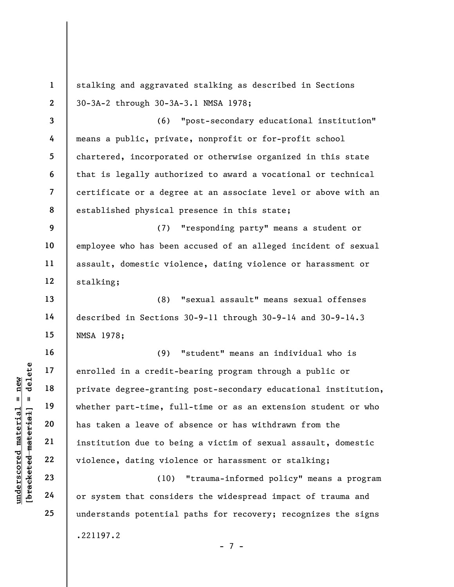stalking and aggravated stalking as described in Sections 30-3A-2 through 30-3A-3.1 NMSA 1978;

3 4 5 6 7 8 (6) "post-secondary educational institution" means a public, private, nonprofit or for-profit school chartered, incorporated or otherwise organized in this state that is legally authorized to award a vocational or technical certificate or a degree at an associate level or above with an established physical presence in this state;

(7) "responding party" means a student or employee who has been accused of an alleged incident of sexual assault, domestic violence, dating violence or harassment or stalking;

(8) "sexual assault" means sexual offenses described in Sections 30-9-11 through 30-9-14 and 30-9-14.3 NMSA 1978;

underscored material = new [bracketed material] = delete (9) "student" means an individual who is enrolled in a credit-bearing program through a public or private degree-granting post-secondary educational institution, whether part-time, full-time or as an extension student or who has taken a leave of absence or has withdrawn from the institution due to being a victim of sexual assault, domestic violence, dating violence or harassment or stalking;

(10) "trauma-informed policy" means a program or system that considers the widespread impact of trauma and understands potential paths for recovery; recognizes the signs .221197.2 - 7 -

1

2

9

10

11

12

13

14

15

16

17

18

19

20

21

22

23

24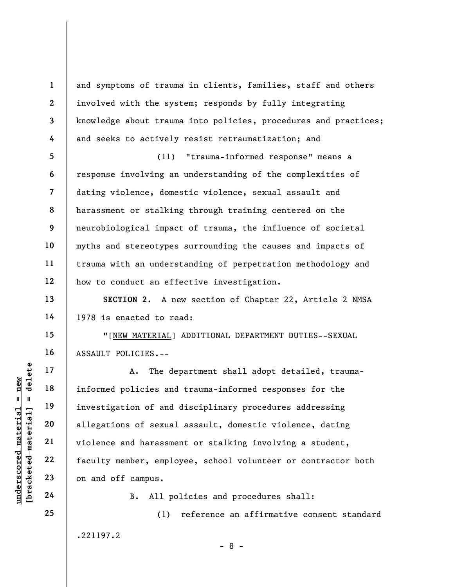and symptoms of trauma in clients, families, staff and others involved with the system; responds by fully integrating knowledge about trauma into policies, procedures and practices; and seeks to actively resist retraumatization; and

5 6 7 8 9 10 11 12 (11) "trauma-informed response" means a response involving an understanding of the complexities of dating violence, domestic violence, sexual assault and harassment or stalking through training centered on the neurobiological impact of trauma, the influence of societal myths and stereotypes surrounding the causes and impacts of trauma with an understanding of perpetration methodology and how to conduct an effective investigation.

SECTION 2. A new section of Chapter 22, Article 2 NMSA 1978 is enacted to read:

"[NEW MATERIAL] ADDITIONAL DEPARTMENT DUTIES--SEXUAL ASSAULT POLICIES.--

under 17<br>
and 18<br>
informed policies and<br>
informed policies and<br>
investigation of and<br>
allegations of sexual<br>
violence and harassme<br>
22<br>
faculty member, emplo<br>
23<br>
on and off campus.<br>
24<br>
B. All po A. The department shall adopt detailed, traumainformed policies and trauma-informed responses for the investigation of and disciplinary procedures addressing allegations of sexual assault, domestic violence, dating violence and harassment or stalking involving a student, faculty member, employee, school volunteer or contractor both on and off campus.

B. All policies and procedures shall:

.221197.2

(1) reference an affirmative consent standard

- 8 -

1

2

3

4

13

14

15

16

17

18

19

20

21

22

23

24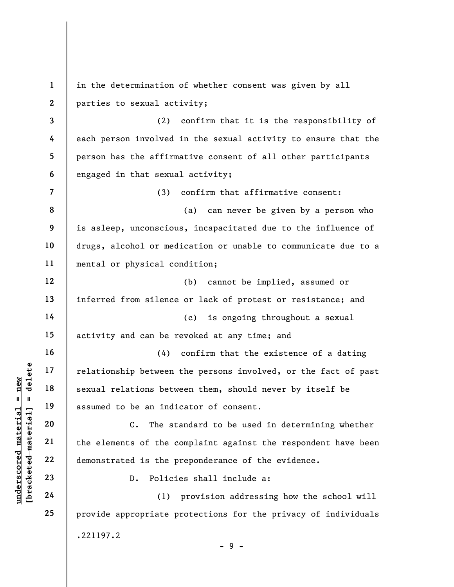understand material material sexual relations between<br>
sexual relations between<br>
sexual relations between<br>
assumed to be an indi<br>
assumed to be an indi<br>
c. The st<br>
c. The st<br>
c. The st<br>
c. The st<br>
c. The st<br>
c. The st<br>
c. 1 2 3 4 5 6 7 8 9 10 11 12 13 14 15 16 17 18 19 20 21 22 23 24 25 in the determination of whether consent was given by all parties to sexual activity; (2) confirm that it is the responsibility of each person involved in the sexual activity to ensure that the person has the affirmative consent of all other participants engaged in that sexual activity; (3) confirm that affirmative consent: (a) can never be given by a person who is asleep, unconscious, incapacitated due to the influence of drugs, alcohol or medication or unable to communicate due to a mental or physical condition; (b) cannot be implied, assumed or inferred from silence or lack of protest or resistance; and (c) is ongoing throughout a sexual activity and can be revoked at any time; and (4) confirm that the existence of a dating relationship between the persons involved, or the fact of past sexual relations between them, should never by itself be assumed to be an indicator of consent. C. The standard to be used in determining whether the elements of the complaint against the respondent have been demonstrated is the preponderance of the evidence. D. Policies shall include a: (1) provision addressing how the school will provide appropriate protections for the privacy of individuals .221197.2  $-9 -$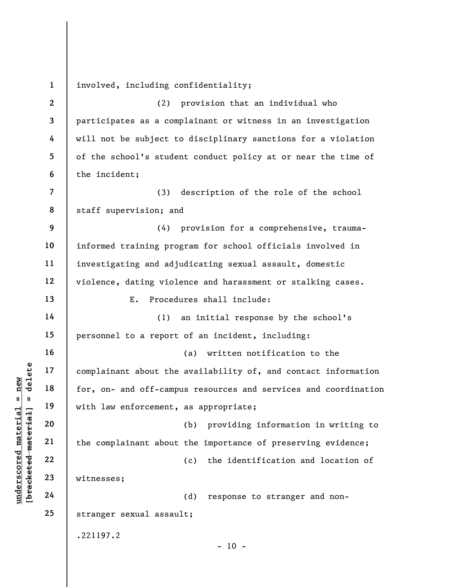understand material material end of the south that the for, on- and of f-camp<br>
with law enforcement,<br>
with law enforcement,<br>
with law enforcement,<br>
21<br>
with law enforcement,<br>
22<br>
23<br>
witnesses;<br>
24 1 2 3 4 5 6 7 8 9 10 11 12 13 14 15 16 17 18 19 20 21 22 23 24 25 involved, including confidentiality; (2) provision that an individual who participates as a complainant or witness in an investigation will not be subject to disciplinary sanctions for a violation of the school's student conduct policy at or near the time of the incident; (3) description of the role of the school staff supervision; and (4) provision for a comprehensive, traumainformed training program for school officials involved in investigating and adjudicating sexual assault, domestic violence, dating violence and harassment or stalking cases. E. Procedures shall include: (1) an initial response by the school's personnel to a report of an incident, including: (a) written notification to the complainant about the availability of, and contact information for, on- and off-campus resources and services and coordination with law enforcement, as appropriate; (b) providing information in writing to the complainant about the importance of preserving evidence; (c) the identification and location of witnesses; (d) response to stranger and nonstranger sexual assault; .221197.2  $- 10 -$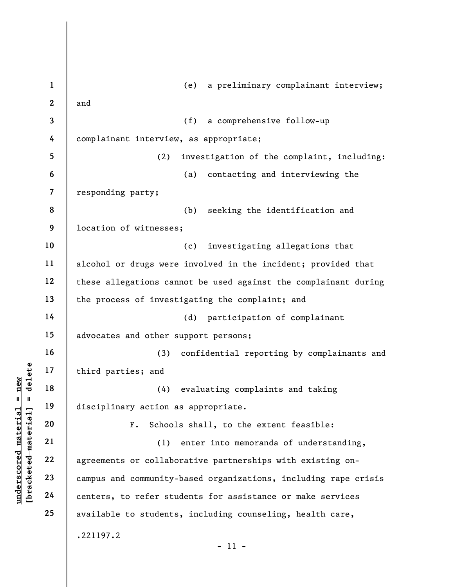|                                  | $\mathbf{1}$ | a preliminary complainant interview;<br>(e)                     |
|----------------------------------|--------------|-----------------------------------------------------------------|
|                                  | $\mathbf{2}$ | and                                                             |
|                                  | 3            | (f)<br>a comprehensive follow-up                                |
|                                  | 4            | complainant interview, as appropriate;                          |
|                                  | 5            | investigation of the complaint, including:<br>(2)               |
|                                  | 6            | (a)<br>contacting and interviewing the                          |
|                                  | 7            | responding party;                                               |
|                                  | 8            | (b)<br>seeking the identification and                           |
|                                  | 9            | location of witnesses;                                          |
|                                  | 10           | investigating allegations that<br>(c)                           |
|                                  | 11           | alcohol or drugs were involved in the incident; provided that   |
|                                  | 12           | these allegations cannot be used against the complainant during |
|                                  | 13           | the process of investigating the complaint; and                 |
|                                  | 14           | participation of complainant<br>(d)                             |
|                                  | 15           | advocates and other support persons;                            |
|                                  | 16           | (3)<br>confidential reporting by complainants and               |
| delete                           | 17           | third parties; and                                              |
| new<br>11<br>$\mathbf{I}$        | 18           | evaluating complaints and taking<br>(4)                         |
|                                  | 19           | disciplinary action as appropriate.                             |
| $\mathtt{materidal}$<br>material | 20           | ${\bf F}$ .<br>Schools shall, to the extent feasible:           |
|                                  | 21           | enter into memoranda of understanding,<br>(1)                   |
|                                  | 22           | agreements or collaborative partnerships with existing on-      |
| underscored<br>[bracketed        | 23           | campus and community-based organizations, including rape crisis |
|                                  | 24           | centers, to refer students for assistance or make services      |
|                                  | 25           | available to students, including counseling, health care,       |
|                                  |              | .221197.2                                                       |
|                                  |              | $-11 -$                                                         |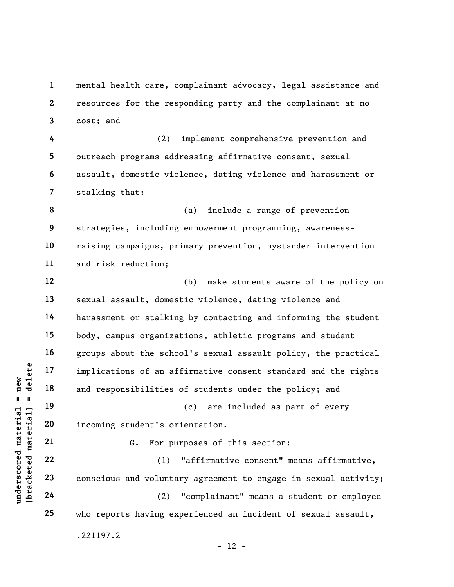understand material material end of an af-<br>
and responsibilities<br>
and responsibilities<br>
and responsibilities<br>
20<br>
incoming student's or<br>
21<br>
22<br>
23<br>
24<br>
24<br>
24<br>
22<br>
24<br>
24<br>
22<br>
24<br>
22<br>
24 1 2 3 4 5 6 7 8 9 10 11 12 13 14 15 16 17 18 19 20 21 22 23 24 25 mental health care, complainant advocacy, legal assistance and resources for the responding party and the complainant at no cost; and (2) implement comprehensive prevention and outreach programs addressing affirmative consent, sexual assault, domestic violence, dating violence and harassment or stalking that: (a) include a range of prevention strategies, including empowerment programming, awarenessraising campaigns, primary prevention, bystander intervention and risk reduction; (b) make students aware of the policy on sexual assault, domestic violence, dating violence and harassment or stalking by contacting and informing the student body, campus organizations, athletic programs and student groups about the school's sexual assault policy, the practical implications of an affirmative consent standard and the rights and responsibilities of students under the policy; and (c) are included as part of every incoming student's orientation. G. For purposes of this section: (1) "affirmative consent" means affirmative, conscious and voluntary agreement to engage in sexual activity; (2) "complainant" means a student or employee who reports having experienced an incident of sexual assault, .221197.2  $- 12 -$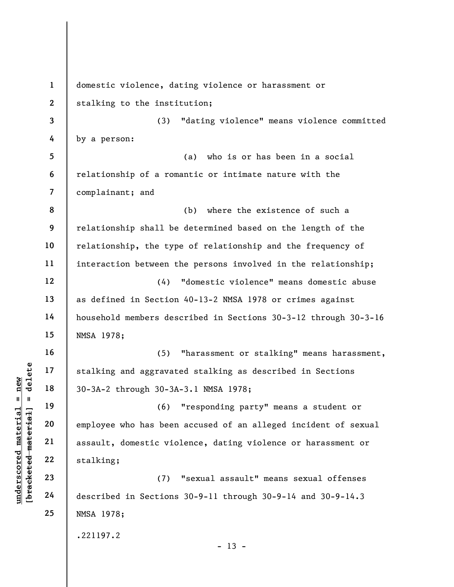underscored material = new [bracketed material] = delete 1 2 3 4 5 6 7 8 9 10 11 12 13 14 15 16 17 18 19 20 21 22 23 24 25 domestic violence, dating violence or harassment or stalking to the institution; (3) "dating violence" means violence committed by a person: (a) who is or has been in a social relationship of a romantic or intimate nature with the complainant; and (b) where the existence of such a relationship shall be determined based on the length of the relationship, the type of relationship and the frequency of interaction between the persons involved in the relationship; (4) "domestic violence" means domestic abuse as defined in Section 40-13-2 NMSA 1978 or crimes against household members described in Sections 30-3-12 through 30-3-16 NMSA 1978; (5) "harassment or stalking" means harassment, stalking and aggravated stalking as described in Sections 30-3A-2 through 30-3A-3.1 NMSA 1978; (6) "responding party" means a student or employee who has been accused of an alleged incident of sexual assault, domestic violence, dating violence or harassment or stalking; (7) "sexual assault" means sexual offenses described in Sections 30-9-11 through 30-9-14 and 30-9-14.3 NMSA 1978; .221197.2  $- 13 -$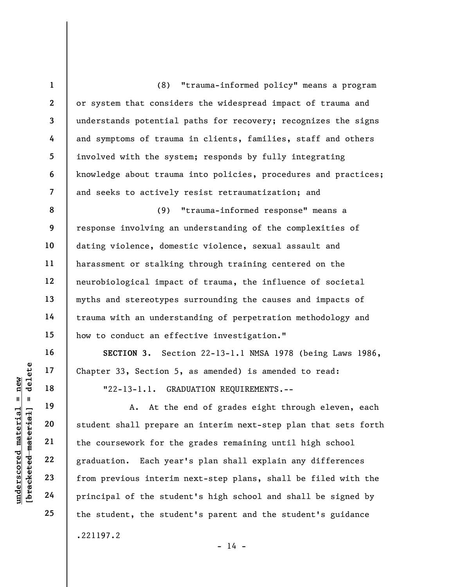underscored material = new [bracketed material] = delete 1 2 3 4 5 6 7 8 9 10 11 12 13 14 15 16 17 18 19 20 21 22 23 24 25 (8) "trauma-informed policy" means a program or system that considers the widespread impact of trauma and understands potential paths for recovery; recognizes the signs and symptoms of trauma in clients, families, staff and others involved with the system; responds by fully integrating knowledge about trauma into policies, procedures and practices; and seeks to actively resist retraumatization; and (9) "trauma-informed response" means a response involving an understanding of the complexities of dating violence, domestic violence, sexual assault and harassment or stalking through training centered on the neurobiological impact of trauma, the influence of societal myths and stereotypes surrounding the causes and impacts of trauma with an understanding of perpetration methodology and how to conduct an effective investigation." SECTION 3. Section 22-13-1.1 NMSA 1978 (being Laws 1986, Chapter 33, Section 5, as amended) is amended to read: "22-13-1.1. GRADUATION REQUIREMENTS.-- A. At the end of grades eight through eleven, each student shall prepare an interim next-step plan that sets forth the coursework for the grades remaining until high school graduation. Each year's plan shall explain any differences from previous interim next-step plans, shall be filed with the principal of the student's high school and shall be signed by the student, the student's parent and the student's guidance .221197.2

 $- 14 -$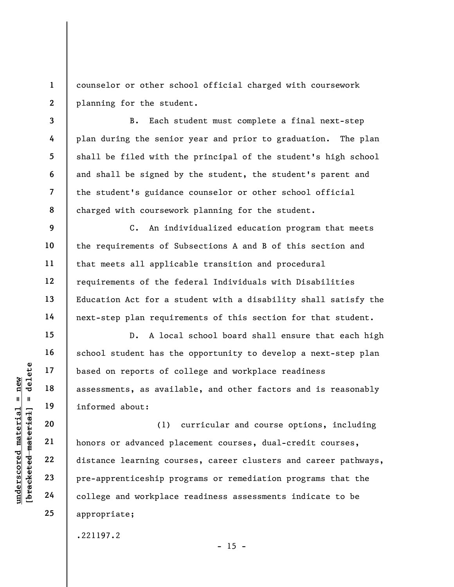1 2 counselor or other school official charged with coursework planning for the student.

B. Each student must complete a final next-step plan during the senior year and prior to graduation. The plan shall be filed with the principal of the student's high school and shall be signed by the student, the student's parent and the student's guidance counselor or other school official charged with coursework planning for the student.

C. An individualized education program that meets the requirements of Subsections A and B of this section and that meets all applicable transition and procedural requirements of the federal Individuals with Disabilities Education Act for a student with a disability shall satisfy the next-step plan requirements of this section for that student.

D. A local school board shall ensure that each high school student has the opportunity to develop a next-step plan based on reports of college and workplace readiness assessments, as available, and other factors and is reasonably informed about:

underscore of the set of the set of the set of the set of the set of the set of the set of the set of the set of the set of the set of the set of the set of the set of the set of the set of the set of the set of the set of (1) curricular and course options, including honors or advanced placement courses, dual-credit courses, distance learning courses, career clusters and career pathways, pre-apprenticeship programs or remediation programs that the college and workplace readiness assessments indicate to be appropriate;

.221197.2

 $- 15 -$ 

3

4

5

6

7

8

9

10

11

12

13

14

15

16

17

18

19

20

21

22

23

24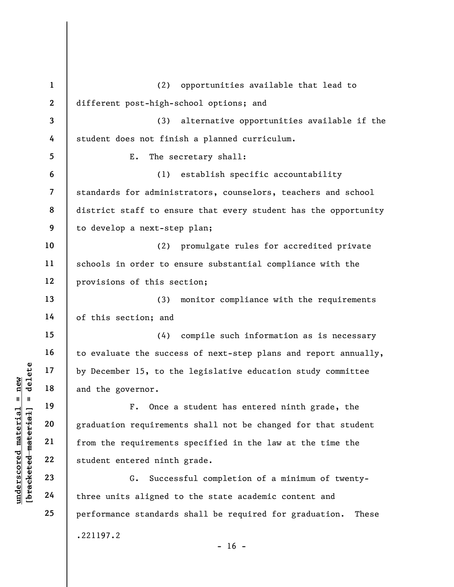|                                              | $\mathbf{1}$            | (2)<br>opportunities available that lead to                      |
|----------------------------------------------|-------------------------|------------------------------------------------------------------|
|                                              | $\overline{2}$          | different post-high-school options; and                          |
|                                              | $\overline{\mathbf{3}}$ | alternative opportunities available if the<br>(3)                |
|                                              | 4                       | student does not finish a planned curriculum.                    |
|                                              | 5                       | Ε.<br>The secretary shall:                                       |
|                                              | 6                       | establish specific accountability<br>(1)                         |
|                                              | $\overline{7}$          | standards for administrators, counselors, teachers and school    |
|                                              | 8                       | district staff to ensure that every student has the opportunity  |
|                                              | 9                       | to develop a next-step plan;                                     |
|                                              | 10                      | promulgate rules for accredited private<br>(2)                   |
|                                              | 11                      | schools in order to ensure substantial compliance with the       |
|                                              | 12                      | provisions of this section;                                      |
|                                              | 13                      | (3)<br>monitor compliance with the requirements                  |
|                                              | 14                      | of this section; and                                             |
|                                              | 15                      | compile such information as is necessary<br>(4)                  |
|                                              | 16                      | to evaluate the success of next-step plans and report annually,  |
| delete                                       | 17                      | by December 15, to the legislative education study committee     |
| $n$ ew                                       | 18                      | and the governor.                                                |
| Ш.<br>Ш                                      | 19                      | Once a student has entered ninth grade, the<br>${\bf F}$ .       |
|                                              | 20                      | graduation requirements shall not be changed for that student    |
|                                              | 21                      | from the requirements specified in the law at the time the       |
|                                              | 22                      | student entered ninth grade.                                     |
| underscored material<br>[bracketed material] | 23                      | Successful completion of a minimum of twenty-<br>G.              |
|                                              | 24                      | three units aligned to the state academic content and            |
|                                              | 25                      | performance standards shall be required for graduation.<br>These |
|                                              |                         | .221197.2                                                        |
|                                              |                         | $-16 -$                                                          |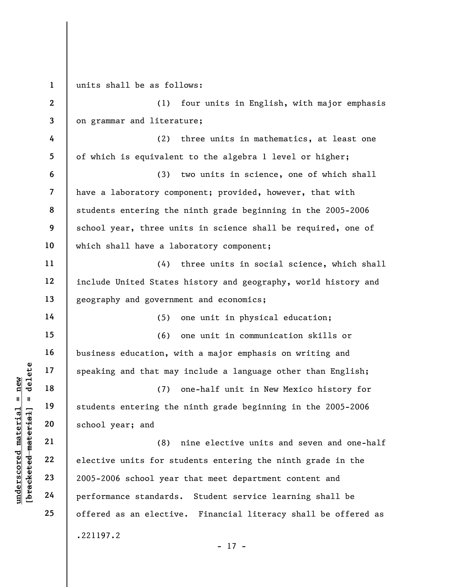understand material speaking and that may<br>  $\begin{bmatrix}\n1 & 1 & 19 \\
0 & 1 & 19 \\
0 & 0 & 21 \\
0 & 0 & 22 \\
0 & 0 & 22 \\
0 & 0 & 23 \\
0 & 0 & 24 \\
0 & 0 & 24\n\end{bmatrix}$  school year; and<br>  $\begin{bmatrix}\n2 & 2 & 2 \\
2 & 2005-2006 & \text{school year} \\
0 & 24 & 24\n\end{bmatrix}$ 1 2 3 4 5 6 7 8 9 10 11 12 13 14 15 16 17 18 19 20 21 22 23 24 25 units shall be as follows: (1) four units in English, with major emphasis on grammar and literature; (2) three units in mathematics, at least one of which is equivalent to the algebra 1 level or higher; (3) two units in science, one of which shall have a laboratory component; provided, however, that with students entering the ninth grade beginning in the 2005-2006 school year, three units in science shall be required, one of which shall have a laboratory component; (4) three units in social science, which shall include United States history and geography, world history and geography and government and economics; (5) one unit in physical education; (6) one unit in communication skills or business education, with a major emphasis on writing and speaking and that may include a language other than English; (7) one-half unit in New Mexico history for students entering the ninth grade beginning in the 2005-2006 school year; and (8) nine elective units and seven and one-half elective units for students entering the ninth grade in the 2005-2006 school year that meet department content and performance standards. Student service learning shall be offered as an elective. Financial literacy shall be offered as .221197.2 - 17 -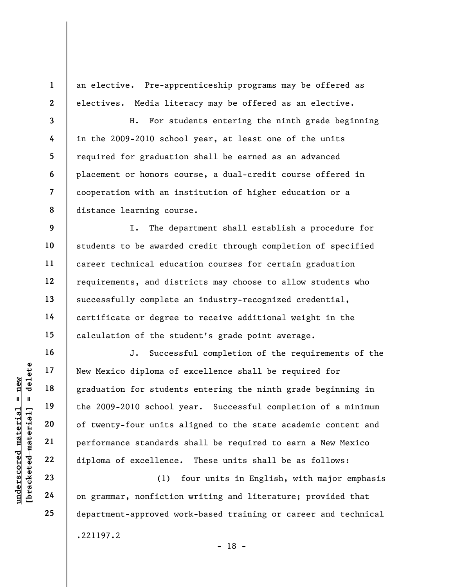an elective. Pre-apprenticeship programs may be offered as electives. Media literacy may be offered as an elective.

3 8 H. For students entering the ninth grade beginning in the 2009-2010 school year, at least one of the units required for graduation shall be earned as an advanced placement or honors course, a dual-credit course offered in cooperation with an institution of higher education or a distance learning course.

9 10 11 12 13 14 15 I. The department shall establish a procedure for students to be awarded credit through completion of specified career technical education courses for certain graduation requirements, and districts may choose to allow students who successfully complete an industry-recognized credential, certificate or degree to receive additional weight in the calculation of the student's grade point average.

underscores in the Mexico diploma of<br>
and the 2009-2010 school<br>
digital the 2009-2010 school<br>
digital and the 2009-2010 school<br>
of twenty-four units<br>
performance standards<br>
22<br>
diploma of excellence<br>
23<br>
24 on grammar, non J. Successful completion of the requirements of the New Mexico diploma of excellence shall be required for graduation for students entering the ninth grade beginning in the 2009-2010 school year. Successful completion of a minimum of twenty-four units aligned to the state academic content and performance standards shall be required to earn a New Mexico diploma of excellence. These units shall be as follows:

(1) four units in English, with major emphasis on grammar, nonfiction writing and literature; provided that department-approved work-based training or career and technical .221197.2

1

2

4

5

6

7

16

17

18

19

20

21

22

23

24

25

- 18 -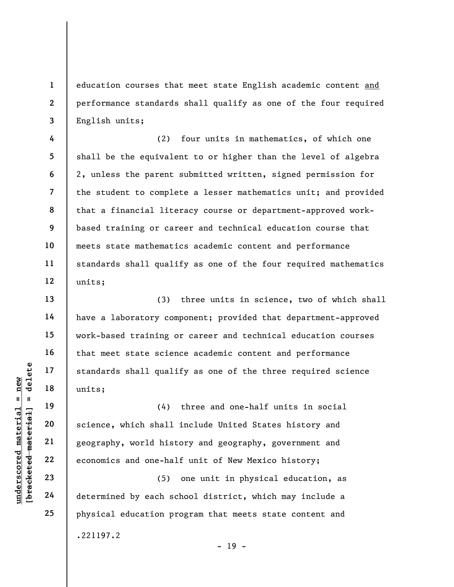education courses that meet state English academic content and performance standards shall qualify as one of the four required English units;

(2) four units in mathematics, of which one shall be the equivalent to or higher than the level of algebra 2, unless the parent submitted written, signed permission for the student to complete a lesser mathematics unit; and provided that a financial literacy course or department-approved workbased training or career and technical education course that meets state mathematics academic content and performance standards shall qualify as one of the four required mathematics units;

(3) three units in science, two of which shall have a laboratory component; provided that department-approved work-based training or career and technical education courses that meet state science academic content and performance standards shall qualify as one of the three required science units;

underscored material = new [bracketed material] = delete (4) three and one-half units in social science, which shall include United States history and geography, world history and geography, government and economics and one-half unit of New Mexico history;

(5) one unit in physical education, as determined by each school district, which may include a physical education program that meets state content and .221197.2

1

2

3

4

5

6

7

8

9

10

11

12

13

14

15

16

17

18

19

20

21

22

23

24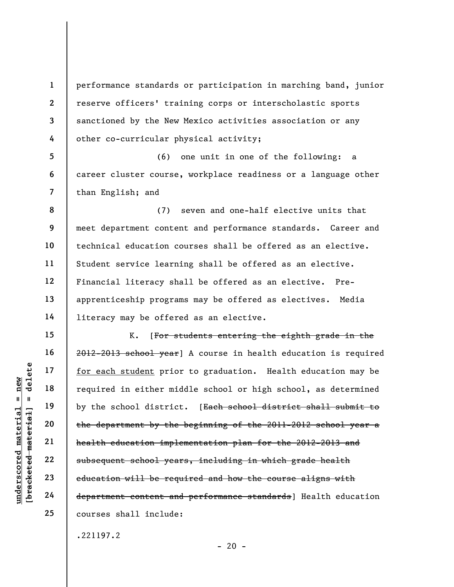2 3 performance standards or participation in marching band, junior reserve officers' training corps or interscholastic sports sanctioned by the New Mexico activities association or any other co-curricular physical activity;

5 6 7 (6) one unit in one of the following: a career cluster course, workplace readiness or a language other than English; and

8 9 10 11 12 13 14 (7) seven and one-half elective units that meet department content and performance standards. Career and technical education courses shall be offered as an elective. Student service learning shall be offered as an elective. Financial literacy shall be offered as an elective. Preapprenticeship programs may be offered as electives. Media literacy may be offered as an elective.

understate of the school district and the department by the school district the department by the school district the department by the school district the department by the school district the department by the school dis K. [For students entering the eighth grade in the 2012-2013 school year] A course in health education is required for each student prior to graduation. Health education may be required in either middle school or high school, as determined by the school district. [Each school district shall submit to the department by the beginning of the 2011-2012 school year a health education implementation plan for the 2012-2013 and subsequent school years, including in which grade health education will be required and how the course aligns with department content and performance standards] Health education courses shall include:

.221197.2

 $- 20 -$ 

1

4

15

16

17

18

19

20

21

22

23

24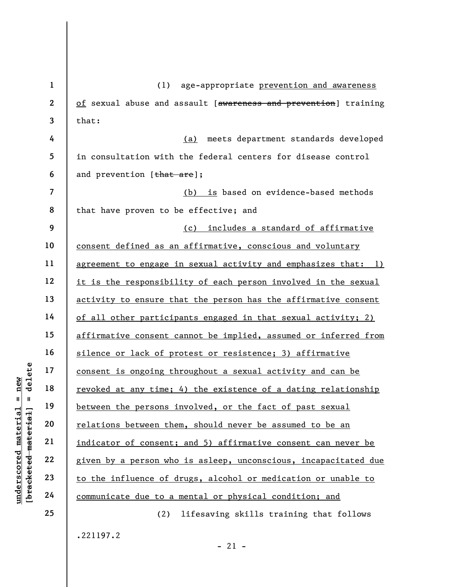underscored material = new [bracketed material] = delete 1 2 3 4 5 6 7 8 9 10 11 12 13 14 15 16 17 18 19 20 21 22 23 24 25 (1) age-appropriate prevention and awareness of sexual abuse and assault [awareness and prevention] training that: (a) meets department standards developed in consultation with the federal centers for disease control and prevention [that are]; (b) is based on evidence-based methods that have proven to be effective; and (c) includes a standard of affirmative consent defined as an affirmative, conscious and voluntary agreement to engage in sexual activity and emphasizes that: 1) it is the responsibility of each person involved in the sexual activity to ensure that the person has the affirmative consent of all other participants engaged in that sexual activity; 2) affirmative consent cannot be implied, assumed or inferred from silence or lack of protest or resistence; 3) affirmative consent is ongoing throughout a sexual activity and can be revoked at any time; 4) the existence of a dating relationship between the persons involved, or the fact of past sexual relations between them, should never be assumed to be an indicator of consent; and 5) affirmative consent can never be given by a person who is asleep, unconscious, incapacitated due to the influence of drugs, alcohol or medication or unable to communicate due to a mental or physical condition; and (2) lifesaving skills training that follows

.221197.2

 $-21 -$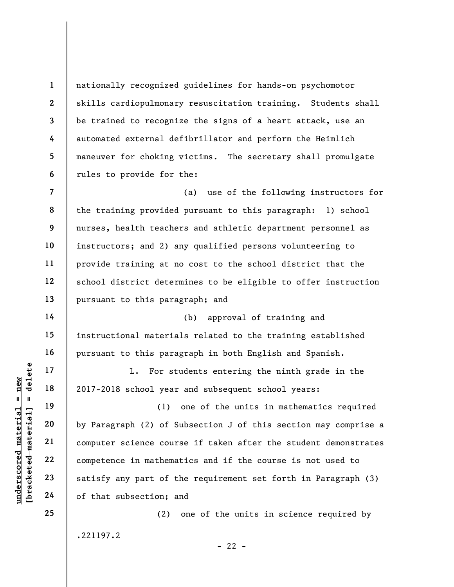nationally recognized guidelines for hands-on psychomotor skills cardiopulmonary resuscitation training. Students shall be trained to recognize the signs of a heart attack, use an automated external defibrillator and perform the Heimlich maneuver for choking victims. The secretary shall promulgate rules to provide for the:

7 8 9 10 11 12 13 (a) use of the following instructors for the training provided pursuant to this paragraph: 1) school nurses, health teachers and athletic department personnel as instructors; and 2) any qualified persons volunteering to provide training at no cost to the school district that the school district determines to be eligible to offer instruction pursuant to this paragraph; and

(b) approval of training and instructional materials related to the training established pursuant to this paragraph in both English and Spanish.

L. For students entering the ninth grade in the 2017-2018 school year and subsequent school years:

underscored material = new [bracketed material] = delete (1) one of the units in mathematics required by Paragraph (2) of Subsection J of this section may comprise a computer science course if taken after the student demonstrates competence in mathematics and if the course is not used to satisfy any part of the requirement set forth in Paragraph (3) of that subsection; and

.221197.2

(2) one of the units in science required by

 $- 22 -$ 

1

2

3

4

5

6

14

15

16

17

18

19

20

21

22

23

24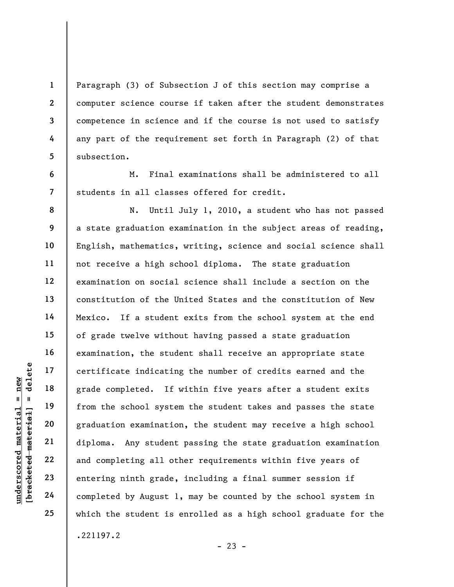Paragraph (3) of Subsection J of this section may comprise a computer science course if taken after the student demonstrates competence in science and if the course is not used to satisfy any part of the requirement set forth in Paragraph (2) of that subsection.

M. Final examinations shall be administered to all students in all classes offered for credit.

underscored material = new [bracketed material] = delete N. Until July 1, 2010, a student who has not passed a state graduation examination in the subject areas of reading, English, mathematics, writing, science and social science shall not receive a high school diploma. The state graduation examination on social science shall include a section on the constitution of the United States and the constitution of New Mexico. If a student exits from the school system at the end of grade twelve without having passed a state graduation examination, the student shall receive an appropriate state certificate indicating the number of credits earned and the grade completed. If within five years after a student exits from the school system the student takes and passes the state graduation examination, the student may receive a high school diploma. Any student passing the state graduation examination and completing all other requirements within five years of entering ninth grade, including a final summer session if completed by August 1, may be counted by the school system in which the student is enrolled as a high school graduate for the .221197.2

 $- 23 -$ 

1

2

3

4

5

6

7

8

9

10

11

12

13

14

15

16

17

18

19

20

21

22

23

24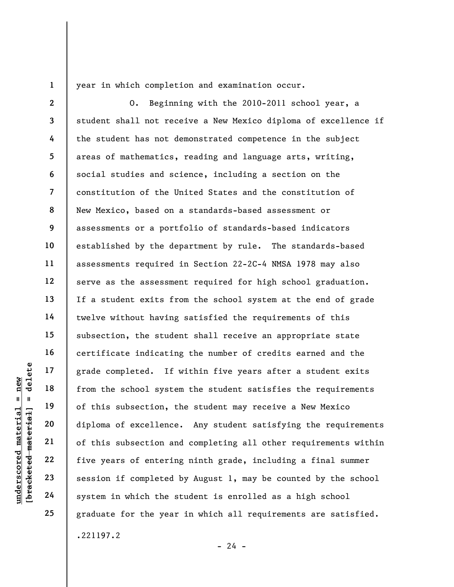1

year in which completion and examination occur.

underscore of this subsection, the school system<br>and the school system is an about the school system of this subsection, the school system<br>of this subsection and the school system is allowed the set of this subsection and 2 3 4 5 6 7 8 9 10 11 12 13 14 15 16 17 18 19 20 21 22 23 24 25 O. Beginning with the 2010-2011 school year, a student shall not receive a New Mexico diploma of excellence if the student has not demonstrated competence in the subject areas of mathematics, reading and language arts, writing, social studies and science, including a section on the constitution of the United States and the constitution of New Mexico, based on a standards-based assessment or assessments or a portfolio of standards-based indicators established by the department by rule. The standards-based assessments required in Section 22-2C-4 NMSA 1978 may also serve as the assessment required for high school graduation. If a student exits from the school system at the end of grade twelve without having satisfied the requirements of this subsection, the student shall receive an appropriate state certificate indicating the number of credits earned and the grade completed. If within five years after a student exits from the school system the student satisfies the requirements of this subsection, the student may receive a New Mexico diploma of excellence. Any student satisfying the requirements of this subsection and completing all other requirements within five years of entering ninth grade, including a final summer session if completed by August 1, may be counted by the school system in which the student is enrolled as a high school graduate for the year in which all requirements are satisfied. .221197.2

 $- 24 -$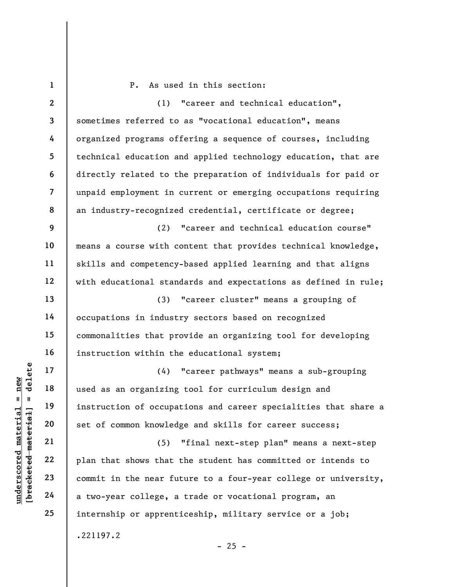underscored material = new [bracketed material] = delete 1 2 3 4 5 6 7 8 9 10 11 12 13 14 15 16 17 18 19 20 21 22 23 24 25 P. As used in this section: (1) "career and technical education", sometimes referred to as "vocational education", means organized programs offering a sequence of courses, including technical education and applied technology education, that are directly related to the preparation of individuals for paid or unpaid employment in current or emerging occupations requiring an industry-recognized credential, certificate or degree; (2) "career and technical education course" means a course with content that provides technical knowledge, skills and competency-based applied learning and that aligns with educational standards and expectations as defined in rule; (3) "career cluster" means a grouping of occupations in industry sectors based on recognized commonalities that provide an organizing tool for developing instruction within the educational system; (4) "career pathways" means a sub-grouping used as an organizing tool for curriculum design and instruction of occupations and career specialities that share a set of common knowledge and skills for career success; (5) "final next-step plan" means a next-step plan that shows that the student has committed or intends to commit in the near future to a four-year college or university, a two-year college, a trade or vocational program, an internship or apprenticeship, military service or a job; .221197.2

 $- 25 -$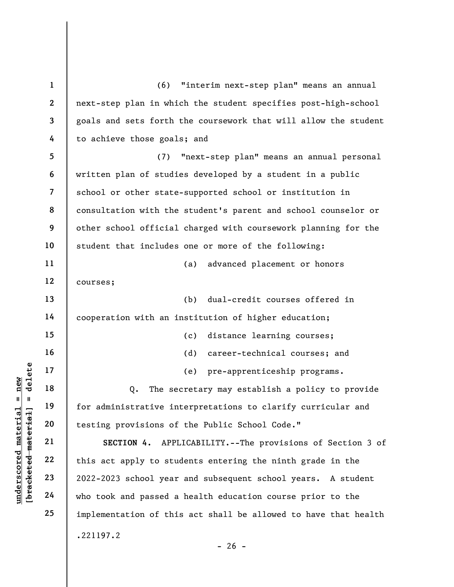underscored material = new [bracketed material] = delete 1 2 3 4 5 6 7 8 9 10 11 12 13 14 15 16 17 18 19 20 21 22 23 24 25 (6) "interim next-step plan" means an annual next-step plan in which the student specifies post-high-school goals and sets forth the coursework that will allow the student to achieve those goals; and (7) "next-step plan" means an annual personal written plan of studies developed by a student in a public school or other state-supported school or institution in consultation with the student's parent and school counselor or other school official charged with coursework planning for the student that includes one or more of the following: (a) advanced placement or honors courses; (b) dual-credit courses offered in cooperation with an institution of higher education; (c) distance learning courses; (d) career-technical courses; and (e) pre-apprenticeship programs. Q. The secretary may establish a policy to provide for administrative interpretations to clarify curricular and testing provisions of the Public School Code." SECTION 4. APPLICABILITY.--The provisions of Section 3 of this act apply to students entering the ninth grade in the 2022-2023 school year and subsequent school years. A student who took and passed a health education course prior to the implementation of this act shall be allowed to have that health .221197.2  $- 26 -$